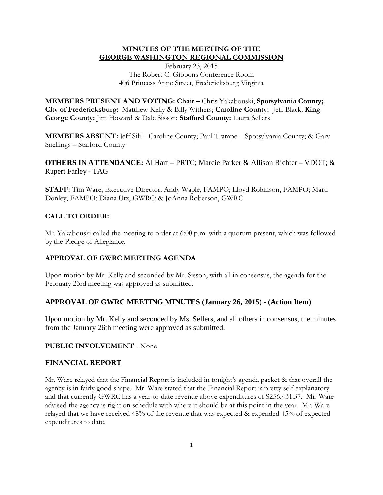### **MINUTES OF THE MEETING OF THE GEORGE WASHINGTON REGIONAL COMMISSION**

February 23, 2015 The Robert C. Gibbons Conference Room 406 Princess Anne Street, Fredericksburg Virginia

**MEMBERS PRESENT AND VOTING: Chair –** Chris Yakabouski, **Spotsylvania County; City of Fredericksburg:** Matthew Kelly & Billy Withers; **Caroline County:** Jeff Black; **King George County:** Jim Howard & Dale Sisson; **Stafford County:** Laura Sellers

**MEMBERS ABSENT:** Jeff Sili – Caroline County; Paul Trampe – Spotsylvania County; & Gary Snellings – Stafford County

**OTHERS IN ATTENDANCE:** Al Harf – PRTC; Marcie Parker & Allison Richter – VDOT; & Rupert Farley - TAG

**STAFF:** Tim Ware, Executive Director; Andy Waple, FAMPO; Lloyd Robinson, FAMPO; Marti Donley, FAMPO; Diana Utz, GWRC; & JoAnna Roberson, GWRC

# **CALL TO ORDER:**

Mr. Yakabouski called the meeting to order at 6:00 p.m. with a quorum present, which was followed by the Pledge of Allegiance.

# **APPROVAL OF GWRC MEETING AGENDA**

Upon motion by Mr. Kelly and seconded by Mr. Sisson, with all in consensus, the agenda for the February 23rd meeting was approved as submitted.

# **APPROVAL OF GWRC MEETING MINUTES (January 26, 2015) - (Action Item)**

Upon motion by Mr. Kelly and seconded by Ms. Sellers, and all others in consensus, the minutes from the January 26th meeting were approved as submitted.

### **PUBLIC INVOLVEMENT** - None

### **FINANCIAL REPORT**

Mr. Ware relayed that the Financial Report is included in tonight's agenda packet & that overall the agency is in fairly good shape. Mr. Ware stated that the Financial Report is pretty self-explanatory and that currently GWRC has a year-to-date revenue above expenditures of \$256,431.37. Mr. Ware advised the agency is right on schedule with where it should be at this point in the year. Mr. Ware relayed that we have received 48% of the revenue that was expected & expended 45% of expected expenditures to date.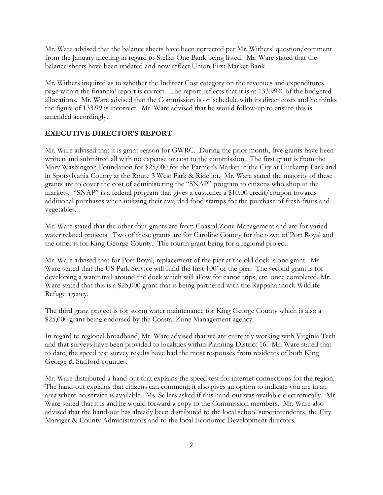Mr. Ware advised that the balance sheets have been corrected per Mr. Withers' question/comment from the January meeting in regard to Stellar One Bank being listed. Mr. Ware stated that the balance sheets have been updated and now reflect Union First Market Bank.

Mr. Withers inquired as to whether the Indirect Cost category on the revenues and expenditures page within the financial report is correct. The report reflects that it is at 133.99% of the budgeted allocations. Mr. Ware advised that the Commission is on schedule with its direct costs and he thinks the figure of 133.99 is incorrect. Mr. Ware advised that he would follow-up to ensure this is amended accordingly.

### **EXECUTIVE DIRECTOR'S REPORT**

Mr. Ware advised that it is grant season for GWRC. During the prior month, five grants have been written and submitted all with no expense or cost to the commission. The first grant is from the Mary Washington Foundation for \$25,000 for the Farmer's Market in the City at Hurkamp Park and in Spotsylvania County at the Route 3 West Park & Ride lot. Mr. Ware stated the majority of these grants are to cover the cost of administering the "SNAP" program to citizens who shop at the markets. "SNAP" is a federal program that gives a customer a \$10.00 credit/coupon towards additional purchases when utilizing their awarded food stamps for the purchase of fresh fruits and vegetables.

Mr. Ware stated that the other four grants are from Coastal Zone Management and are for varied water related projects. Two of these grants are for Caroline County for the town of Port Royal and the other is for King George County. The fourth grant being for a regional project.

Mr. Ware advised that for Port Royal, replacement of the pier at the old dock is one grant. Mr. Ware stated that the US Park Service will fund the first 100' of the pier. The second grant is for developing a water trail around the dock which will allow for canoe trips, etc. once completed. Mr. Ware stated that this is a \$25,000 grant that is being partnered with the Rappahannock Wildlife Refuge agency.

The third grant project is for storm water maintenance for King George County which is also a \$25,000 grant being endorsed by the Coastal Zone Management agency.

In regard to regional broadband, Mr. Ware advised that we are currently working with Virginia Tech and that surveys have been provided to localities within Planning District 16. Mr. Ware stated that to date, the speed test survey results have had the most responses from residents of both King George & Stafford counties.

Mr. Ware distributed a hand-out that explains the speed test for internet connections for the region. The hand-out explains that citizens can comment; it also gives an option to indicate you are in an area where no service is available. Ms. Sellers asked if this hand-out was available electronically. Mr. Ware stated that it is and he would forward a copy to the Commission members. Mr. Ware also advised that the hand-out has already been distributed to the local school superintendents, the City Manager & County Administrators and to the local Economic Development directors.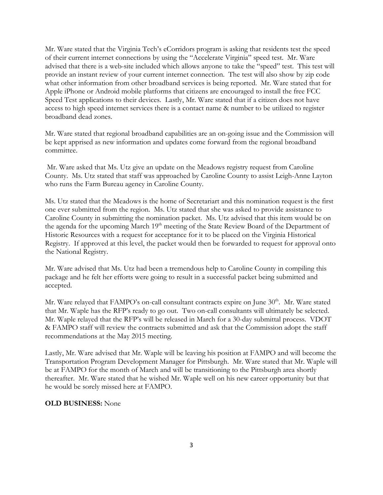Mr. Ware stated that the Virginia Tech's eCorridors program is asking that residents test the speed of their current internet connections by using the "Accelerate Virginia" speed test. Mr. Ware advised that there is a web-site included which allows anyone to take the "speed" test. This test will provide an instant review of your current internet connection. The test will also show by zip code what other information from other broadband services is being reported. Mr. Ware stated that for Apple iPhone or Android mobile platforms that citizens are encouraged to install the free FCC Speed Test applications to their devices. Lastly, Mr. Ware stated that if a citizen does not have access to high speed internet services there is a contact name & number to be utilized to register broadband dead zones.

Mr. Ware stated that regional broadband capabilities are an on-going issue and the Commission will be kept apprised as new information and updates come forward from the regional broadband committee.

Mr. Ware asked that Ms. Utz give an update on the Meadows registry request from Caroline County. Ms. Utz stated that staff was approached by Caroline County to assist Leigh-Anne Layton who runs the Farm Bureau agency in Caroline County.

Ms. Utz stated that the Meadows is the home of Secretariart and this nomination request is the first one ever submitted from the region. Ms. Utz stated that she was asked to provide assistance to Caroline County in submitting the nomination packet. Ms. Utz advised that this item would be on the agenda for the upcoming March 19<sup>th</sup> meeting of the State Review Board of the Department of Historic Resources with a request for acceptance for it to be placed on the Virginia Historical Registry. If approved at this level, the packet would then be forwarded to request for approval onto the National Registry.

Mr. Ware advised that Ms. Utz had been a tremendous help to Caroline County in compiling this package and he felt her efforts were going to result in a successful packet being submitted and accepted.

Mr. Ware relayed that  $FAMPO's$  on-call consultant contracts expire on June  $30<sup>th</sup>$ . Mr. Ware stated that Mr. Waple has the RFP's ready to go out. Two on-call consultants will ultimately be selected. Mr. Waple relayed that the RFP's will be released in March for a 30-day submittal process. VDOT & FAMPO staff will review the contracts submitted and ask that the Commission adopt the staff recommendations at the May 2015 meeting.

Lastly, Mr. Ware advised that Mr. Waple will be leaving his position at FAMPO and will become the Transportation Program Development Manager for Pittsburgh. Mr. Ware stated that Mr. Waple will be at FAMPO for the month of March and will be transitioning to the Pittsburgh area shortly thereafter. Mr. Ware stated that he wished Mr. Waple well on his new career opportunity but that he would be sorely missed here at FAMPO.

### **OLD BUSINESS:** None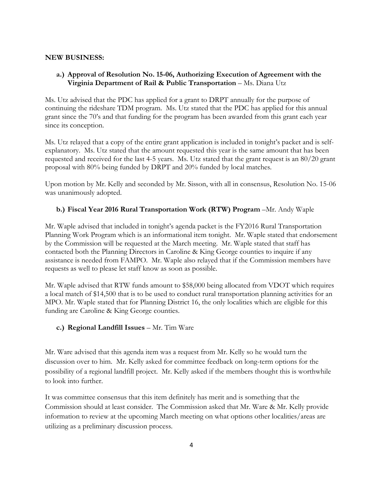### **NEW BUSINESS:**

# **a.) Approval of Resolution No. 15-06, Authorizing Execution of Agreement with the Virginia Department of Rail & Public Transportation** – Ms. Diana Utz

Ms. Utz advised that the PDC has applied for a grant to DRPT annually for the purpose of continuing the rideshare TDM program. Ms. Utz stated that the PDC has applied for this annual grant since the 70's and that funding for the program has been awarded from this grant each year since its conception.

Ms. Utz relayed that a copy of the entire grant application is included in tonight's packet and is selfexplanatory. Ms. Utz stated that the amount requested this year is the same amount that has been requested and received for the last 4-5 years. Ms. Utz stated that the grant request is an 80/20 grant proposal with 80% being funded by DRPT and 20% funded by local matches.

Upon motion by Mr. Kelly and seconded by Mr. Sisson, with all in consensus, Resolution No. 15-06 was unanimously adopted.

# **b.) Fiscal Year 2016 Rural Transportation Work (RTW) Program** –Mr. Andy Waple

Mr. Waple advised that included in tonight's agenda packet is the FY2016 Rural Transportation Planning Work Program which is an informational item tonight. Mr. Waple stated that endorsement by the Commission will be requested at the March meeting. Mr. Waple stated that staff has contacted both the Planning Directors in Caroline & King George counties to inquire if any assistance is needed from FAMPO. Mr. Waple also relayed that if the Commission members have requests as well to please let staff know as soon as possible.

Mr. Waple advised that RTW funds amount to \$58,000 being allocated from VDOT which requires a local match of \$14,500 that is to be used to conduct rural transportation planning activities for an MPO. Mr. Waple stated that for Planning District 16, the only localities which are eligible for this funding are Caroline & King George counties.

### **c.) Regional Landfill Issues** – Mr. Tim Ware

Mr. Ware advised that this agenda item was a request from Mr. Kelly so he would turn the discussion over to him. Mr. Kelly asked for committee feedback on long-term options for the possibility of a regional landfill project. Mr. Kelly asked if the members thought this is worthwhile to look into further.

It was committee consensus that this item definitely has merit and is something that the Commission should at least consider. The Commission asked that Mr. Ware & Mr. Kelly provide information to review at the upcoming March meeting on what options other localities/areas are utilizing as a preliminary discussion process.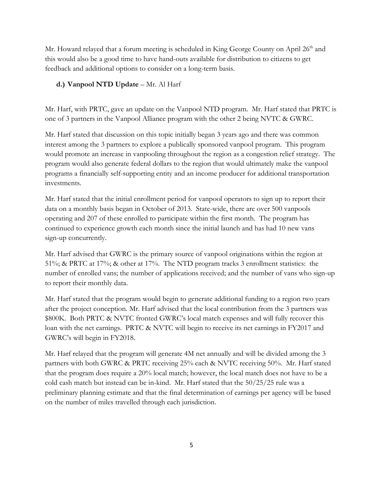Mr. Howard relayed that a forum meeting is scheduled in King George County on April  $26<sup>th</sup>$  and this would also be a good time to have hand-outs available for distribution to citizens to get feedback and additional options to consider on a long-term basis.

# **d.) Vanpool NTD Update** – Mr. Al Harf

Mr. Harf, with PRTC, gave an update on the Vanpool NTD program. Mr. Harf stated that PRTC is one of 3 partners in the Vanpool Alliance program with the other 2 being NVTC & GWRC.

Mr. Harf stated that discussion on this topic initially began 3 years ago and there was common interest among the 3 partners to explore a publically sponsored vanpool program. This program would promote an increase in vanpooling throughout the region as a congestion relief strategy. The program would also generate federal dollars to the region that would ultimately make the vanpool programs a financially self-supporting entity and an income producer for additional transportation investments.

Mr. Harf stated that the initial enrollment period for vanpool operators to sign up to report their data on a monthly basis began in October of 2013. State-wide, there are over 500 vanpools operating and 207 of these enrolled to participate within the first month. The program has continued to experience growth each month since the initial launch and has had 10 new vans sign-up concurrently.

Mr. Harf advised that GWRC is the primary source of vanpool originations within the region at 51%; & PRTC at 17%; & other at 17%. The NTD program tracks 3 enrollment statistics: the number of enrolled vans; the number of applications received; and the number of vans who sign-up to report their monthly data.

Mr. Harf stated that the program would begin to generate additional funding to a region two years after the project conception. Mr. Harf advised that the local contribution from the 3 partners was \$800K. Both PRTC & NVTC fronted GWRC's local match expenses and will fully recover this loan with the net earnings. PRTC & NVTC will begin to receive its net earnings in FY2017 and GWRC's will begin in FY2018.

Mr. Harf relayed that the program will generate 4M net annually and will be divided among the 3 partners with both GWRC & PRTC receiving 25% each & NVTC receiving 50%. Mr. Harf stated that the program does require a 20% local match; however, the local match does not have to be a cold cash match but instead can be in-kind. Mr. Harf stated that the 50/25/25 rule was a preliminary planning estimate and that the final determination of earnings per agency will be based on the number of miles travelled through each jurisdiction.